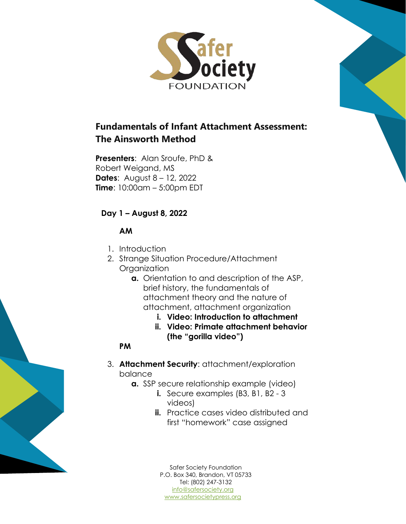

# **Fundamentals of Infant Attachment Assessment: The Ainsworth Method**

**Presenters**: Alan Sroufe, PhD & Robert Weigand, MS **Dates**: August 8 – 12, 2022 **Time**: 10:00am – 5:00pm EDT

# **Day 1 – August 8, 2022**

# **AM**

- 1. Introduction
- 2. Strange Situation Procedure/Attachment Organization
	- **a.** Orientation to and description of the ASP, brief history, the fundamentals of attachment theory and the nature of attachment, attachment organization
		- **i. Video: Introduction to attachment**
		- **ii. Video: Primate attachment behavior (the "gorilla video")**

### **PM**

- 3. **Attachment Security**: attachment/exploration balance
	- **a.** SSP secure relationship example (video)
		- **i.** Secure examples (B3, B1, B2 3) videos)
		- **ii.** Practice cases video distributed and first "homework" case assigned

[info@safersociety.org](mailto:info@safersociety.org) [www.safersocietypress.org](http://www.safersocietypress.org/) Safer Society Foundation P.O. Box 340, Brandon, VT 05733 Tel: (802) 247-3132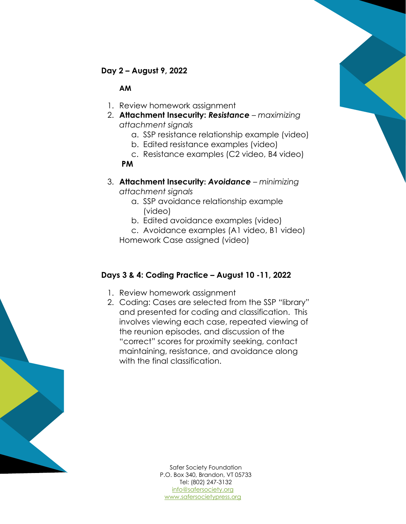

## **Day 2 – August 9, 2022**

#### **AM**

- 1. Review homework assignment
- 2. **Attachment Insecurity:** *Resistance – maximizing attachment signals*
	- a. SSP resistance relationship example (video)
	- b. Edited resistance examples (video)
	- c. Resistance examples (C2 video, B4 video) **PM**
- 3. **Attachment Insecurity:** *Avoidance – minimizing attachment signals*
	- a. SSP avoidance relationship example (video)
	- b. Edited avoidance examples (video)
	- c. Avoidance examples (A1 video, B1 video) Homework Case assigned (video)

### **Days 3 & 4: Coding Practice – August 10 -11, 2022**

- 1. Review homework assignment
- 2. Coding: Cases are selected from the SSP "library" and presented for coding and classification. This involves viewing each case, repeated viewing of the reunion episodes, and discussion of the "correct" scores for proximity seeking, contact maintaining, resistance, and avoidance along with the final classification.



[info@safersociety.org](mailto:info@safersociety.org) [www.safersocietypress.org](http://www.safersocietypress.org/) Safer Society Foundation P.O. Box 340, Brandon, VT 05733 Tel: (802) 247-3132